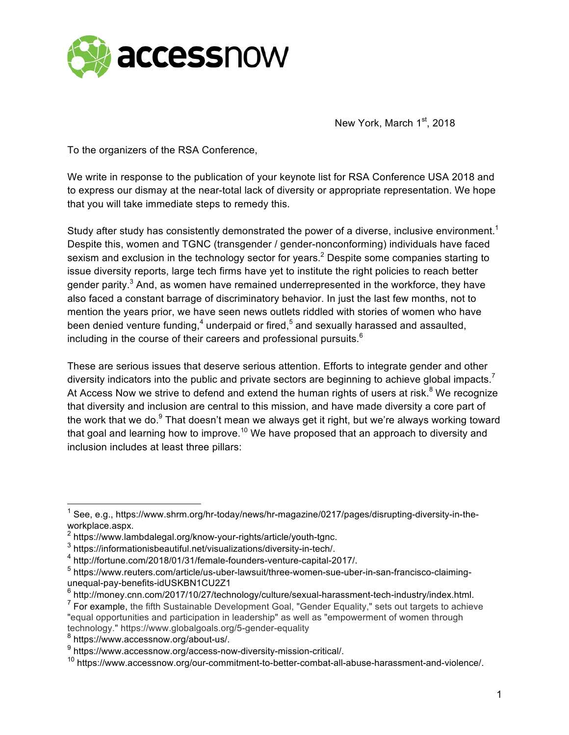

New York, March 1st, 2018

To the organizers of the RSA Conference,

We write in response to the publication of your keynote list for RSA Conference USA 2018 and to express our dismay at the near-total lack of diversity or appropriate representation. We hope that you will take immediate steps to remedy this.

Study after study has consistently demonstrated the power of a diverse, inclusive environment.<sup>1</sup> Despite this, women and TGNC (transgender / gender-nonconforming) individuals have faced sexism and exclusion in the technology sector for years.<sup>2</sup> Despite some companies starting to issue diversity reports, large tech firms have yet to institute the right policies to reach better gender parity.<sup>3</sup> And, as women have remained underrepresented in the workforce, they have also faced a constant barrage of discriminatory behavior. In just the last few months, not to mention the years prior, we have seen news outlets riddled with stories of women who have been denied venture funding, $4$  underpaid or fired, $5$  and sexually harassed and assaulted, including in the course of their careers and professional pursuits. $<sup>6</sup>$ </sup>

These are serious issues that deserve serious attention. Efforts to integrate gender and other diversity indicators into the public and private sectors are beginning to achieve global impacts.<sup>7</sup> At Access Now we strive to defend and extend the human rights of users at risk. $8$  We recognize that diversity and inclusion are central to this mission, and have made diversity a core part of the work that we do.<sup>9</sup> That doesn't mean we always get it right, but we're always working toward that goal and learning how to improve.<sup>10</sup> We have proposed that an approach to diversity and inclusion includes at least three pillars:

<sup>&</sup>lt;sup>1</sup> See, e.g., https://www.shrm.org/hr-today/news/hr-magazine/0217/pages/disrupting-diversity-in-theworkplace.aspx.

<sup>&</sup>lt;sup>2</sup> https://www.lambdalegal.org/know-your-rights/article/youth-tgnc.

<sup>3</sup> https://informationisbeautiful.net/visualizations/diversity-in-tech/.

<sup>4</sup> http://fortune.com/2018/01/31/female-founders-venture-capital-2017/.

<sup>5</sup> https://www.reuters.com/article/us-uber-lawsuit/three-women-sue-uber-in-san-francisco-claimingunequal-pay-benefits-idUSKBN1CU2Z1

 $6$  http://money.cnn.com/2017/10/27/technology/culture/sexual-harassment-tech-industry/index.html.

 $<sup>7</sup>$  For example, the fifth Sustainable Development Goal, "Gender Equality," sets out targets to achieve</sup> "equal opportunities and participation in leadership" as well as "empowerment of women through technology." https://www.globalgoals.org/5-gender-equality

<sup>8</sup> https://www.accessnow.org/about-us/.

<sup>9</sup> https://www.accessnow.org/access-now-diversity-mission-critical/.

<sup>10</sup> https://www.accessnow.org/our-commitment-to-better-combat-all-abuse-harassment-and-violence/.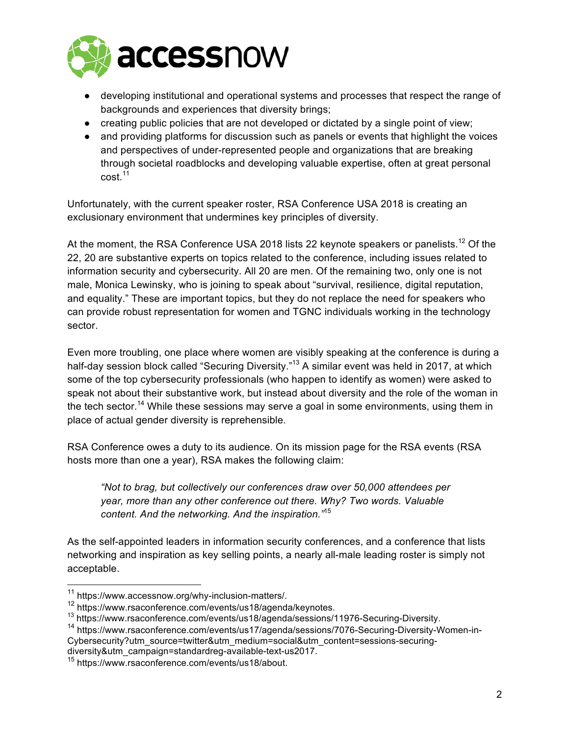

- developing institutional and operational systems and processes that respect the range of backgrounds and experiences that diversity brings;
- creating public policies that are not developed or dictated by a single point of view;
- and providing platforms for discussion such as panels or events that highlight the voices and perspectives of under-represented people and organizations that are breaking through societal roadblocks and developing valuable expertise, often at great personal cost.<sup>11</sup>

Unfortunately, with the current speaker roster, RSA Conference USA 2018 is creating an exclusionary environment that undermines key principles of diversity.

At the moment, the RSA Conference USA 2018 lists 22 keynote speakers or panelists.<sup>12</sup> Of the 22, 20 are substantive experts on topics related to the conference, including issues related to information security and cybersecurity. All 20 are men. Of the remaining two, only one is not male, Monica Lewinsky, who is joining to speak about "survival, resilience, digital reputation, and equality." These are important topics, but they do not replace the need for speakers who can provide robust representation for women and TGNC individuals working in the technology sector.

Even more troubling, one place where women are visibly speaking at the conference is during a half-day session block called "Securing Diversity."<sup>13</sup> A similar event was held in 2017, at which some of the top cybersecurity professionals (who happen to identify as women) were asked to speak not about their substantive work, but instead about diversity and the role of the woman in the tech sector.<sup>14</sup> While these sessions may serve a goal in some environments, using them in place of actual gender diversity is reprehensible.

RSA Conference owes a duty to its audience. On its mission page for the RSA events (RSA hosts more than one a year), RSA makes the following claim:

*"Not to brag, but collectively our conferences draw over 50,000 attendees per year, more than any other conference out there. Why? Two words. Valuable content. And the networking. And the inspiration."*<sup>15</sup>

As the self-appointed leaders in information security conferences, and a conference that lists networking and inspiration as key selling points, a nearly all-male leading roster is simply not acceptable.

<sup>14</sup> https://www.rsaconference.com/events/us17/agenda/sessions/7076-Securing-Diversity-Women-in-Cybersecurity?utm\_source=twitter&utm\_medium=social&utm\_content=sessions-securingdiversity&utm\_campaign=standardreg-available-text-us2017.

 <sup>11</sup> https://www.accessnow.org/why-inclusion-matters/.

 $^{12}$  https://www.rsaconference.com/events/us18/agenda/keynotes.<br> $^{13}$  https://www.rsaconference.com/events/us18/agenda/sessions/11976-Securing-Diversity.